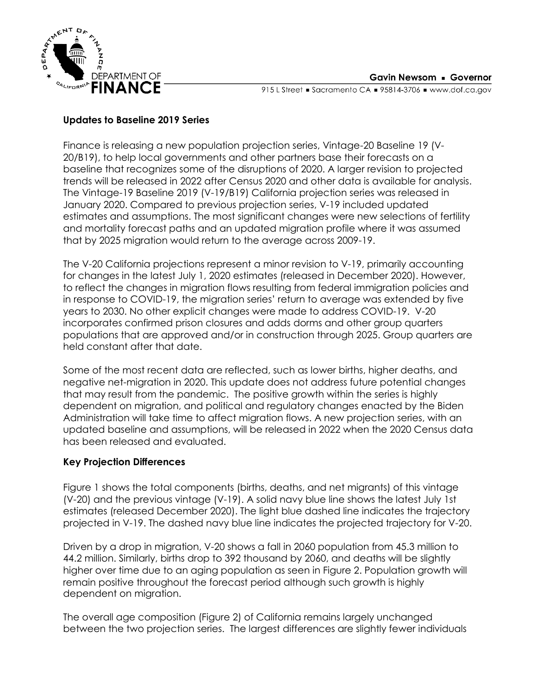

915 L Street Gacramento CA = 95814-3706 = www.dof.ca.gov

## **Updates to Baseline 2019 Series**

Finance is releasing a new population projection series, Vintage-20 Baseline 19 (V-20/B19), to help local governments and other partners base their forecasts on a baseline that recognizes some of the disruptions of 2020. A larger revision to projected trends will be released in 2022 after Census 2020 and other data is available for analysis. The Vintage-19 Baseline 2019 (V-19/B19) California projection series was released in January 2020. Compared to previous projection series, V-19 included updated estimates and assumptions. The most significant changes were new selections of fertility and mortality forecast paths and an updated migration profile where it was assumed that by 2025 migration would return to the average across 2009-19.

The V-20 California projections represent a minor revision to V-19, primarily accounting for changes in the latest July 1, 2020 estimates (released in December 2020). However, to reflect the changes in migration flows resulting from federal immigration policies and in response to COVID-19, the migration series' return to average was extended by five years to 2030. No other explicit changes were made to address COVID-19. V-20 incorporates confirmed prison closures and adds dorms and other group quarters populations that are approved and/or in construction through 2025. Group quarters are held constant after that date.

Some of the most recent data are reflected, such as lower births, higher deaths, and negative net-migration in 2020. This update does not address future potential changes that may result from the pandemic. The positive growth within the series is highly dependent on migration, and political and regulatory changes enacted by the Biden Administration will take time to affect migration flows. A new projection series, with an updated baseline and assumptions, will be released in 2022 when the 2020 Census data has been released and evaluated.

## **Key Projection Differences**

Figure 1 shows the total components (births, deaths, and net migrants) of this vintage (V-20) and the previous vintage (V-19). A solid navy blue line shows the latest July 1st estimates (released December 2020). The light blue dashed line indicates the trajectory projected in V-19. The dashed navy blue line indicates the projected trajectory for V-20.

Driven by a drop in migration, V-20 shows a fall in 2060 population from 45.3 million to 44.2 million. Similarly, births drop to 392 thousand by 2060, and deaths will be slightly higher over time due to an aging population as seen in Figure 2. Population growth will remain positive throughout the forecast period although such growth is highly dependent on migration.

The overall age composition (Figure 2) of California remains largely unchanged between the two projection series. The largest differences are slightly fewer individuals